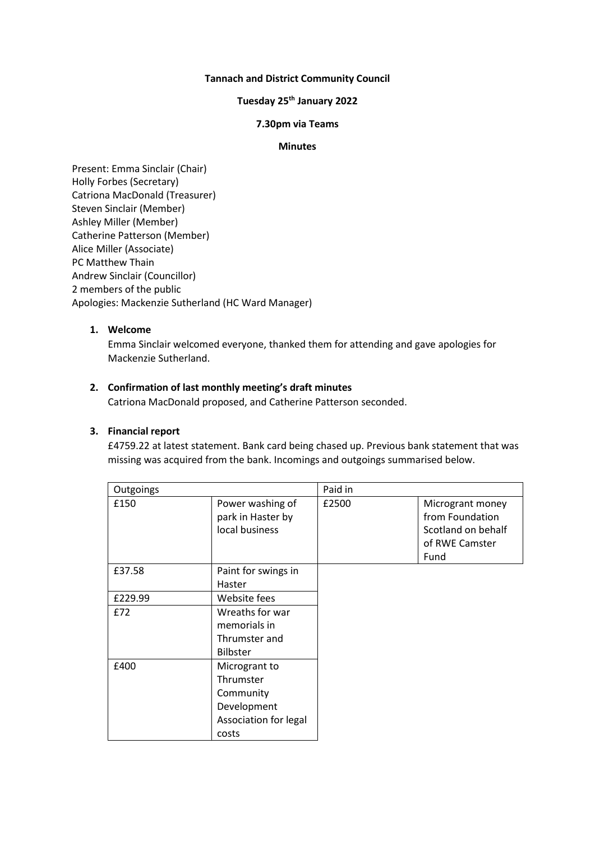## **Tannach and District Community Council**

## **Tuesday 25th January 2022**

#### **7.30pm via Teams**

#### **Minutes**

Present: Emma Sinclair (Chair) Holly Forbes (Secretary) Catriona MacDonald (Treasurer) Steven Sinclair (Member) Ashley Miller (Member) Catherine Patterson (Member) Alice Miller (Associate) PC Matthew Thain Andrew Sinclair (Councillor) 2 members of the public Apologies: Mackenzie Sutherland (HC Ward Manager)

#### **1. Welcome**

Emma Sinclair welcomed everyone, thanked them for attending and gave apologies for Mackenzie Sutherland.

## **2. Confirmation of last monthly meeting's draft minutes**

Catriona MacDonald proposed, and Catherine Patterson seconded.

# **3. Financial report**

£4759.22 at latest statement. Bank card being chased up. Previous bank statement that was missing was acquired from the bank. Incomings and outgoings summarised below.

| Outgoings |                                                                                          | Paid in |                                                                                     |
|-----------|------------------------------------------------------------------------------------------|---------|-------------------------------------------------------------------------------------|
| £150      | Power washing of<br>park in Haster by<br>local business                                  | £2500   | Microgrant money<br>from Foundation<br>Scotland on behalf<br>of RWE Camster<br>Fund |
| £37.58    | Paint for swings in<br>Haster                                                            |         |                                                                                     |
| £229.99   | Website fees                                                                             |         |                                                                                     |
| £72       | Wreaths for war<br>memorials in<br>Thrumster and<br><b>Bilbster</b>                      |         |                                                                                     |
| £400      | Microgrant to<br>Thrumster<br>Community<br>Development<br>Association for legal<br>costs |         |                                                                                     |